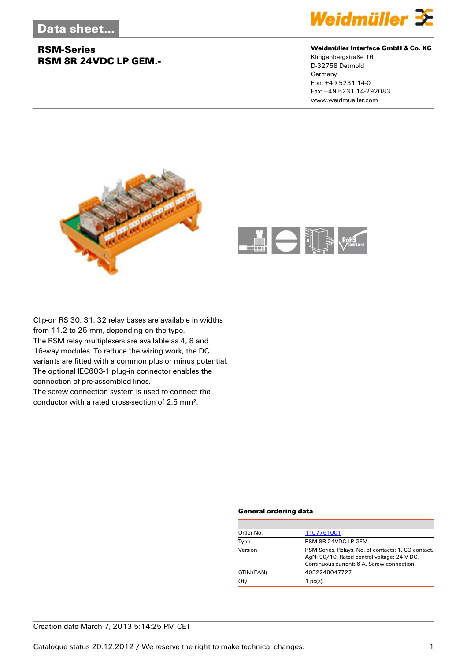### **RSM-Series RSM 8R 24VDC LP GEM.-**



#### **Weidmüller Interface GmbH & Co. KG**

Klingenbergstraße 16 D-32758 Detmold Germany Fon: +49 5231 14-0 Fax: +49 5231 14-292083 www.weidmueller.com





Clip-on RS 30. 31. 32 relay bases are available in widths from 11.2 to 25 mm, depending on the type. The RSM relay multiplexers are available as 4, 8 and 16-way modules. To reduce the wiring work, the DC variants are fitted with a common plus or minus potential. The optional IEC603-1 plug-in connector enables the connection of pre-assembled lines. The screw connection system is used to connect the

conductor with a rated cross-section of 2.5 mm².

### **General ordering data**

| 1107761001                                                                                                                                      |
|-------------------------------------------------------------------------------------------------------------------------------------------------|
| RSM 8R 24VDC LP GEM.-                                                                                                                           |
| RSM-Series, Relays, No. of contacts: 1, CO contact,<br>AgNi 90/10, Rated control voltage: 24 V DC,<br>Continuous current: 6 A, Screw connection |
| 4032248047727                                                                                                                                   |
| $1$ pc(s).                                                                                                                                      |
|                                                                                                                                                 |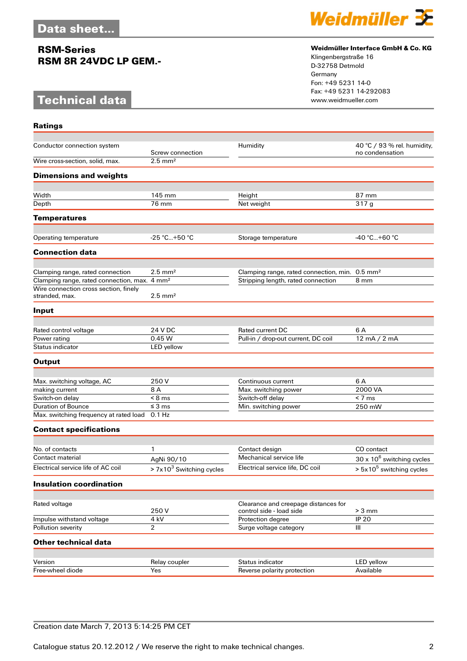## **RSM-Series RSM 8R 24VDC LP GEM.-**

# **Technical data**



#### **Weidmüller Interface GmbH & Co. KG**

Klingenbergstraße 16 D-32758 Detmold Germany Fon: +49 5231 14-0 Fax: +49 5231 14-292083

| <b>Ratings</b>                                           |                            |                                                                  |                                                |
|----------------------------------------------------------|----------------------------|------------------------------------------------------------------|------------------------------------------------|
| Conductor connection system                              | Screw connection           | Humidity                                                         | 40 °C / 93 % rel. humidity,<br>no condensation |
| Wire cross-section, solid, max.                          | $2.5$ mm <sup>2</sup>      |                                                                  |                                                |
| <b>Dimensions and weights</b>                            |                            |                                                                  |                                                |
| Width                                                    | 145 mm                     | Height                                                           | 87 mm                                          |
| Depth                                                    | 76 mm                      | Net weight                                                       | 317g                                           |
| <b>Temperatures</b>                                      |                            |                                                                  |                                                |
|                                                          |                            |                                                                  |                                                |
| Operating temperature                                    | $-25$ °C+50 °C             | Storage temperature                                              | $-40 °C+60 °C$                                 |
| <b>Connection data</b>                                   |                            |                                                                  |                                                |
| Clamping range, rated connection                         | $2.5 \text{ mm}^2$         | Clamping range, rated connection, min. 0.5 mm <sup>2</sup>       |                                                |
| Clamping range, rated connection, max. 4 mm <sup>2</sup> |                            | Stripping length, rated connection                               | 8 mm                                           |
| Wire connection cross section, finely<br>stranded, max.  | $2.5 \text{ mm}^2$         |                                                                  |                                                |
| Input                                                    |                            |                                                                  |                                                |
| Rated control voltage                                    | 24 V DC                    | Rated current DC                                                 | 6 A                                            |
| Power rating                                             | 0.45 W                     | Pull-in / drop-out current, DC coil                              | 12 mA / 2 mA                                   |
| Status indicator                                         | LED yellow                 |                                                                  |                                                |
| <b>Output</b>                                            |                            |                                                                  |                                                |
|                                                          |                            |                                                                  |                                                |
| Max. switching voltage, AC                               | 250 V<br>8 A               | Continuous current                                               | 6 A<br>2000 VA                                 |
| making current<br>Switch-on delay                        | $< 8$ ms                   | Max. switching power<br>Switch-off delay                         | $< 7 \text{ ms}$                               |
| <b>Duration of Bounce</b>                                | $\leq$ 3 ms                | Min. switching power                                             | 250 mW                                         |
| Max. switching frequency at rated load                   | 0.1 Hz                     |                                                                  |                                                |
| <b>Contact specifications</b>                            |                            |                                                                  |                                                |
|                                                          |                            |                                                                  |                                                |
| No. of contacts                                          | 1                          | Contact design                                                   | CO contact                                     |
| <b>Contact material</b>                                  | AgNi 90/10                 | Mechanical service life                                          | 30 x 10 <sup>6</sup> switching cycles          |
| Electrical service life of AC coil                       | $> 7x103$ Switching cycles | Electrical service life, DC coil                                 | $> 5x105$ switching cycles                     |
| <b>Insulation coordination</b>                           |                            |                                                                  |                                                |
|                                                          |                            |                                                                  |                                                |
| Rated voltage                                            | 250V                       | Clearance and creepage distances for<br>control side - load side | $> 3$ mm                                       |
| Impulse withstand voltage                                | 4 kV                       | Protection degree                                                | <b>IP 20</b>                                   |
| Pollution severity                                       | $\overline{2}$             | Surge voltage category                                           | III                                            |
| <b>Other technical data</b>                              |                            |                                                                  |                                                |
|                                                          |                            |                                                                  |                                                |
| Version                                                  | Relay coupler              | Status indicator                                                 | LED yellow                                     |
| Free-wheel diode                                         | Yes                        | Reverse polarity protection                                      | Available                                      |